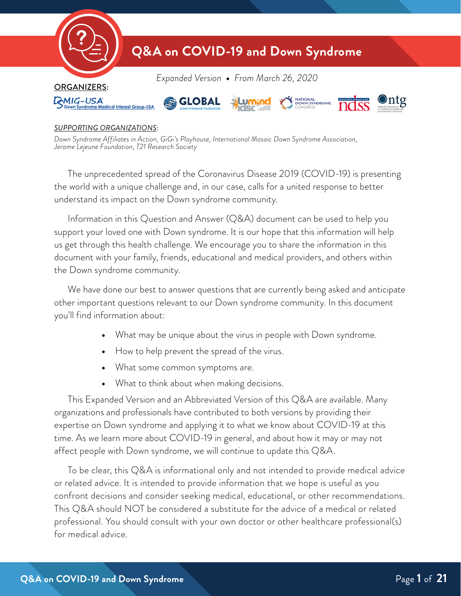

#### *SUPPORTING ORGANIZATIONS:*

*Down Syndrome Affiliates in Action, GiGi's Playhouse, International Mosaic Down Syndrome Association, Jerome Lejeune Foundation, T21 Research Society*

The unprecedented spread of the Coronavirus Disease 2019 (COVID-19) is presenting the world with a unique challenge and, in our case, calls for a united response to better understand its impact on the Down syndrome community.

Information in this Question and Answer (Q&A) document can be used to help you support your loved one with Down syndrome. It is our hope that this information will help us get through this health challenge. We encourage you to share the information in this document with your family, friends, educational and medical providers, and others within the Down syndrome community.

We have done our best to answer questions that are currently being asked and anticipate other important questions relevant to our Down syndrome community. In this document you'll find information about:

- **•** What may be unique about the virus in people with Down syndrome.
- **•** How to help prevent the spread of the virus.
- **•** What some common symptoms are.
- **•** What to think about when making decisions.

This Expanded Version and an Abbreviated Version of this Q&A are available. Many organizations and professionals have contributed to both versions by providing their expertise on Down syndrome and applying it to what we know about COVID-19 at this time. As we learn more about COVID-19 in general, and about how it may or may not affect people with Down syndrome, we will continue to update this Q&A.

To be clear, this Q&A is informational only and not intended to provide medical advice or related advice. It is intended to provide information that we hope is useful as you confront decisions and consider seeking medical, educational, or other recommendations. This Q&A should NOT be considered a substitute for the advice of a medical or related professional. You should consult with your own doctor or other healthcare professional(s) for medical advice.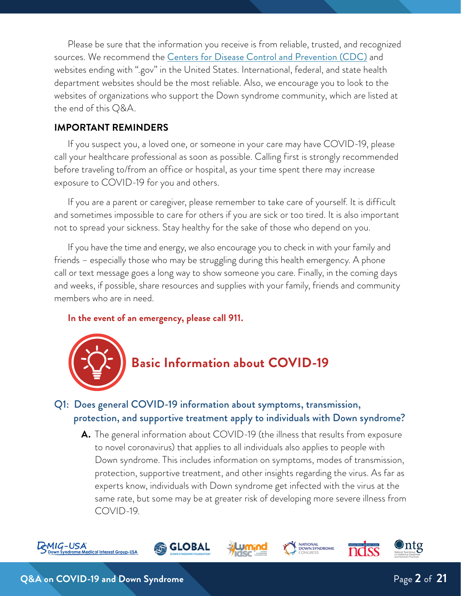Please be sure that the information you receive is from reliable, trusted, and recognized sources. We recommend the **[Centers for Disease Control and Prevention \(CDC\)](https://www.cdc.gov/coronavirus/2019-ncov/index.html)** and websites ending with ".gov" in the United States. International, federal, and state health department websites should be the most reliable. Also, we encourage you to look to the websites of organizations who support the Down syndrome community, which are listed at the end of this Q&A.

#### **IMPORTANT REMINDERS**

If you suspect you, a loved one, or someone in your care may have COVID-19, please call your healthcare professional as soon as possible. Calling first is strongly recommended before traveling to/from an office or hospital, as your time spent there may increase exposure to COVID-19 for you and others.

If you are a parent or caregiver, please remember to take care of yourself. It is difficult and sometimes impossible to care for others if you are sick or too tired. It is also important not to spread your sickness. Stay healthy for the sake of those who depend on you.

If you have the time and energy, we also encourage you to check in with your family and friends – especially those who may be struggling during this health emergency. A phone call or text message goes a long way to show someone you care. Finally, in the coming days and weeks, if possible, share resources and supplies with your family, friends and community members who are in need.

#### **In the event of an emergency, please call 911.**



## Q1: Does general COVID-19 information about symptoms, transmission, protection, and supportive treatment apply to individuals with Down syndrome?

**A.** The general information about COVID-19 (the illness that results from exposure to novel coronavirus) that applies to all individuals also applies to people with Down syndrome. This includes information on symptoms, modes of transmission, protection, supportive treatment, and other insights regarding the virus. As far as experts know, individuals with Down syndrome get infected with the virus at the same rate, but some may be at greater risk of developing more severe illness from COVID-19.









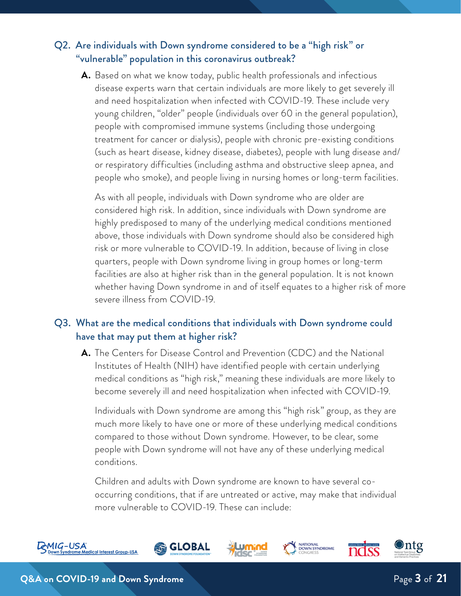# Q2. Are individuals with Down syndrome considered to be a "high risk" or "vulnerable" population in this coronavirus outbreak?

**A.** Based on what we know today, public health professionals and infectious disease experts warn that certain individuals are more likely to get severely ill and need hospitalization when infected with COVID-19. These include very young children, "older" people (individuals over 60 in the general population), people with compromised immune systems (including those undergoing treatment for cancer or dialysis), people with chronic pre-existing conditions (such as heart disease, kidney disease, diabetes), people with lung disease and/ or respiratory difficulties (including asthma and obstructive sleep apnea, and people who smoke), and people living in nursing homes or long-term facilities.

As with all people, individuals with Down syndrome who are older are considered high risk. In addition, since individuals with Down syndrome are highly predisposed to many of the underlying medical conditions mentioned above, those individuals with Down syndrome should also be considered high risk or more vulnerable to COVID-19. In addition, because of living in close quarters, people with Down syndrome living in group homes or long-term facilities are also at higher risk than in the general population. It is not known whether having Down syndrome in and of itself equates to a higher risk of more severe illness from COVID-19.

### Q3. What are the medical conditions that individuals with Down syndrome could have that may put them at higher risk?

**A.** The Centers for Disease Control and Prevention (CDC) and the National Institutes of Health (NIH) have identified people with certain underlying medical conditions as "high risk," meaning these individuals are more likely to become severely ill and need hospitalization when infected with COVID-19.

Individuals with Down syndrome are among this "high risk" group, as they are much more likely to have one or more of these underlying medical conditions compared to those without Down syndrome. However, to be clear, some people with Down syndrome will not have any of these underlying medical conditions.

Children and adults with Down syndrome are known to have several cooccurring conditions, that if are untreated or active, may make that individual more vulnerable to COVID-19. These can include:

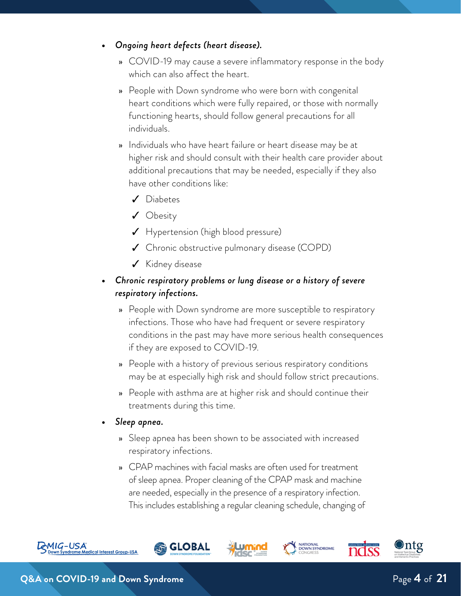- **•** *Ongoing heart defects (heart disease).* 
	- » COVID-19 may cause a severe inflammatory response in the body which can also affect the heart.
	- » People with Down syndrome who were born with congenital heart conditions which were fully repaired, or those with normally functioning hearts, should follow general precautions for all individuals.
	- » Individuals who have heart failure or heart disease may be at higher risk and should consult with their health care provider about additional precautions that may be needed, especially if they also have other conditions like:
		- ✓ Diabetes
		- ✓ Obesity
		- ✓ Hypertension (high blood pressure)
		- ✓ Chronic obstructive pulmonary disease (COPD)
		- ✓ Kidney disease
- **•** *Chronic respiratory problems or lung disease or a history of severe respiratory infections.* 
	- » People with Down syndrome are more susceptible to respiratory infections. Those who have had frequent or severe respiratory conditions in the past may have more serious health consequences if they are exposed to COVID-19.
	- » People with a history of previous serious respiratory conditions may be at especially high risk and should follow strict precautions.
	- » People with asthma are at higher risk and should continue their treatments during this time.
- **•** *Sleep apnea.*
	- » Sleep apnea has been shown to be associated with increased respiratory infections.
	- » CPAP machines with facial masks are often used for treatment of sleep apnea. Proper cleaning of the CPAP mask and machine are needed, especially in the presence of a respiratory infection. This includes establishing a regular cleaning schedule, changing of

**i GLOBAL** 

**NATIONAL<br>DOWN SYNDROME**<br>CONGRESS



⊙ntg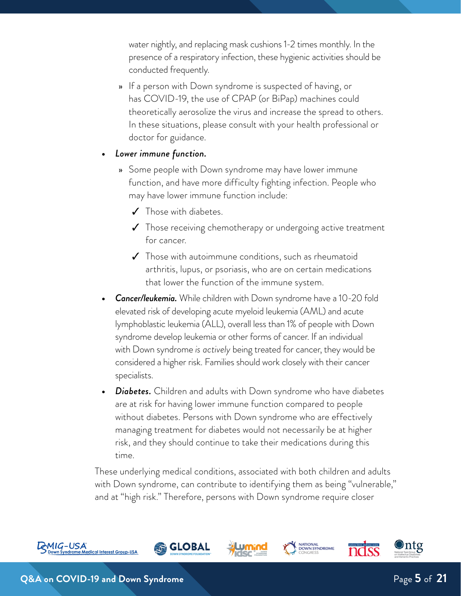water nightly, and replacing mask cushions 1-2 times monthly. In the presence of a respiratory infection, these hygienic activities should be conducted frequently.

- » If a person with Down syndrome is suspected of having, or has COVID-19, the use of CPAP (or BiPap) machines could theoretically aerosolize the virus and increase the spread to others. In these situations, please consult with your health professional or doctor for guidance.
- **•** *Lower immune function.*
	- » Some people with Down syndrome may have lower immune function, and have more difficulty fighting infection. People who may have lower immune function include:
		- ✓ Those with diabetes.
		- ✓ Those receiving chemotherapy or undergoing active treatment for cancer.
		- ✓ Those with autoimmune conditions, such as rheumatoid arthritis, lupus, or psoriasis, who are on certain medications that lower the function of the immune system.
- **•** *Cancer/leukemia.* While children with Down syndrome have a 10-20 fold elevated risk of developing acute myeloid leukemia (AML) and acute lymphoblastic leukemia (ALL), overall less than 1% of people with Down syndrome develop leukemia or other forms of cancer. If an individual with Down syndrome *is actively* being treated for cancer, they would be considered a higher risk. Families should work closely with their cancer specialists.
- **•** *Diabetes.* Children and adults with Down syndrome who have diabetes are at risk for having lower immune function compared to people without diabetes. Persons with Down syndrome who are effectively managing treatment for diabetes would not necessarily be at higher risk, and they should continue to take their medications during this time.

These underlying medical conditions, associated with both children and adults with Down syndrome, can contribute to identifying them as being "vulnerable," and at "high risk." Therefore, persons with Down syndrome require closer

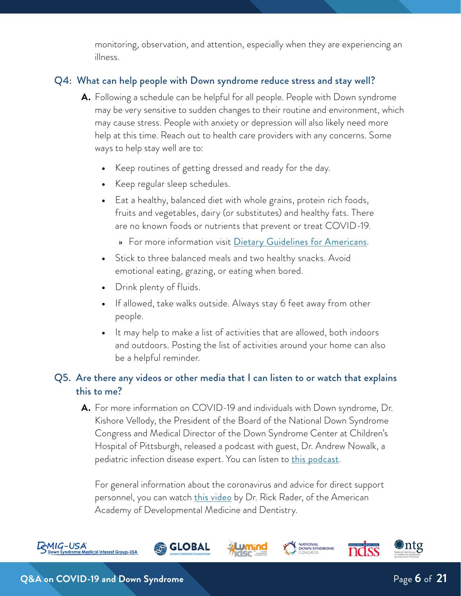monitoring, observation, and attention, especially when they are experiencing an illness.

#### Q4: What can help people with Down syndrome reduce stress and stay well?

- **A.** Following a schedule can be helpful for all people. People with Down syndrome may be very sensitive to sudden changes to their routine and environment, which may cause stress. People with anxiety or depression will also likely need more help at this time. Reach out to health care providers with any concerns. Some ways to help stay well are to:
	- **•** Keep routines of getting dressed and ready for the day.
	- **•** Keep regular sleep schedules.
	- **•** Eat a healthy, balanced diet with whole grains, protein rich foods, fruits and vegetables, dairy (or substitutes) and healthy fats. There are no known foods or nutrients that prevent or treat COVID-19.
		- » For more information visit [Dietary Guidelines for Americans](https://www.dietaryguidelines.gov/current-dietary-guidelines/2015-2020-dietary-guidelines).
	- **•** Stick to three balanced meals and two healthy snacks. Avoid emotional eating, grazing, or eating when bored.
	- **•** Drink plenty of fluids.
	- **•** If allowed, take walks outside. Always stay 6 feet away from other people.
	- **•** It may help to make a list of activities that are allowed, both indoors and outdoors. Posting the list of activities around your home can also be a helpful reminder.

# Q5. Are there any videos or other media that I can listen to or watch that explains this to me?

**A.** For more information on COVID-19 and individuals with Down syndrome, Dr. Kishore Vellody, the President of the Board of the National Down Syndrome Congress and Medical Director of the Down Syndrome Center at Children's Hospital of Pittsburgh, released a podcast with guest, Dr. Andrew Nowalk, a pediatric infection disease expert. You can listen to *[this podcast](http://downsyndromecenter.libsyn.com/68-coronavirus-with-dr-andrew-nowalk)*.

For general information about the coronavirus and advice for direct support personnel, you can watch <u>[this video](https://www.youtube.com/watch?v=ud4Q4e_hcuw)</u> by Dr. Rick Rader, of the American Academy of Developmental Medicine and Dentistry.

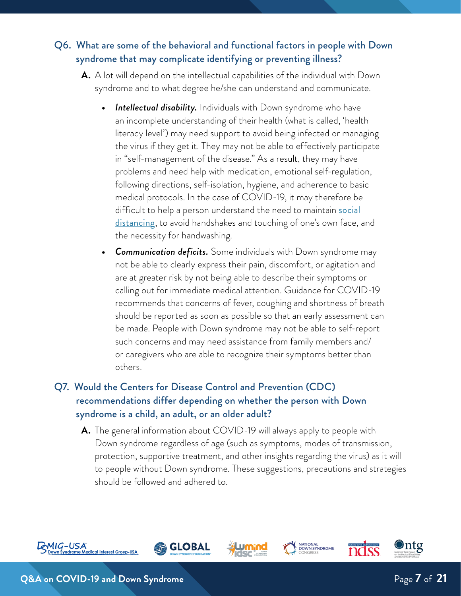# Q6. What are some of the behavioral and functional factors in people with Down syndrome that may complicate identifying or preventing illness?

- **A.** A lot will depend on the intellectual capabilities of the individual with Down syndrome and to what degree he/she can understand and communicate.
	- **Intellectual disability.** Individuals with Down syndrome who have an incomplete understanding of their health (what is called, 'health literacy level') may need support to avoid being infected or managing the virus if they get it. They may not be able to effectively participate in "self-management of the disease." As a result, they may have problems and need help with medication, emotional self-regulation, following directions, self-isolation, hygiene, and adherence to basic medical protocols. In the case of COVID-19, it may therefore be difficult to help a person understand the need to maintain **social** [distancing](https://www.cdc.gov/coronavirus/2019-ncov/prepare/prevention.html), to avoid handshakes and touching of one's own face, and the necessity for handwashing.
	- **•** *Communication deficits.* Some individuals with Down syndrome may not be able to clearly express their pain, discomfort, or agitation and are at greater risk by not being able to describe their symptoms or calling out for immediate medical attention. Guidance for COVID-19 recommends that concerns of fever, coughing and shortness of breath should be reported as soon as possible so that an early assessment can be made. People with Down syndrome may not be able to self-report such concerns and may need assistance from family members and/ or caregivers who are able to recognize their symptoms better than others.

# Q7. Would the Centers for Disease Control and Prevention (CDC) recommendations differ depending on whether the person with Down syndrome is a child, an adult, or an older adult?

**A.** The general information about COVID-19 will always apply to people with Down syndrome regardless of age (such as symptoms, modes of transmission, protection, supportive treatment, and other insights regarding the virus) as it will to people without Down syndrome. These suggestions, precautions and strategies should be followed and adhered to.

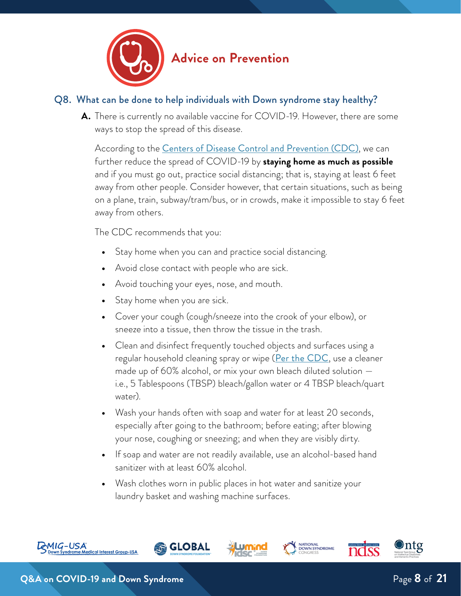

# **Advice on Prevention**

### Q8. What can be done to help individuals with Down syndrome stay healthy?

**A.** There is currently no available vaccine for COVID-19. However, there are some ways to stop the spread of this disease.

According to the [Centers of Disease Control and Prevention \(CDC\)](https://www.cdc.gov/coronavirus/2019-ncov/prepare/prevention.html), we can further reduce the spread of COVID-19 by **staying home as much as possible** and if you must go out, practice social distancing; that is, staying at least 6 feet away from other people. Consider however, that certain situations, such as being on a plane, train, subway/tram/bus, or in crowds, make it impossible to stay 6 feet away from others.

The CDC recommends that you:

- **•** Stay home when you can and practice social distancing.
- **•** Avoid close contact with people who are sick.
- **•** Avoid touching your eyes, nose, and mouth.
- **•** Stay home when you are sick.
- **•** Cover your cough (cough/sneeze into the crook of your elbow), or sneeze into a tissue, then throw the tissue in the trash.
- **•** Clean and disinfect frequently touched objects and surfaces using a regular household cleaning spray or wipe ([Per the CDC](https://www.cdc.gov/coronavirus/2019-ncov/prepare/cleaning-disinfection.html), use a cleaner made up of 60% alcohol, or mix your own bleach diluted solution i.e., 5 Tablespoons (TBSP) bleach/gallon water or 4 TBSP bleach/quart water).
- **•** Wash your hands often with soap and water for at least 20 seconds, especially after going to the bathroom; before eating; after blowing your nose, coughing or sneezing; and when they are visibly dirty.
- **•** If soap and water are not readily available, use an alcohol-based hand sanitizer with at least 60% alcohol.
- **•** Wash clothes worn in public places in hot water and sanitize your laundry basket and washing machine surfaces.

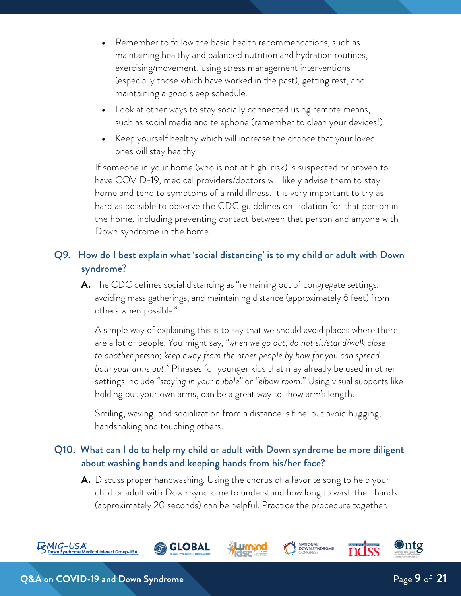- **•** Remember to follow the basic health recommendations, such as maintaining healthy and balanced nutrition and hydration routines, exercising/movement, using stress management interventions (especially those which have worked in the past), getting rest, and maintaining a good sleep schedule.
- **•** Look at other ways to stay socially connected using remote means, such as social media and telephone (remember to clean your devices!).
- **•** Keep yourself healthy which will increase the chance that your loved ones will stay healthy.

If someone in your home (who is not at high-risk) is suspected or proven to have COVID-19, medical providers/doctors will likely advise them to stay home and tend to symptoms of a mild illness. It is very important to try as hard as possible to observe the CDC guidelines on isolation for that person in the home, including preventing contact between that person and anyone with Down syndrome in the home.

# Q9. How do I best explain what 'social distancing' is to my child or adult with Down syndrome?

**A.** The CDC defines social distancing as "remaining out of congregate settings, avoiding mass gatherings, and maintaining distance (approximately 6 feet) from others when possible."

A simple way of explaining this is to say that we should avoid places where there are a lot of people. You might say, *"when we go out, do not sit/stand/walk close to another person; keep away from the other people by how far you can spread both your arms out."* Phrases for younger kids that may already be used in other settings include *"staying in your bubble"* or *"elbow room."* Using visual supports like holding out your own arms, can be a great way to show arm's length.

Smiling, waving, and socialization from a distance is fine, but avoid hugging, handshaking and touching others.

## Q10. What can I do to help my child or adult with Down syndrome be more diligent about washing hands and keeping hands from his/her face?

**A.** Discuss proper handwashing. Using the chorus of a favorite song to help your child or adult with Down syndrome to understand how long to wash their hands (approximately 20 seconds) can be helpful. Practice the procedure together.

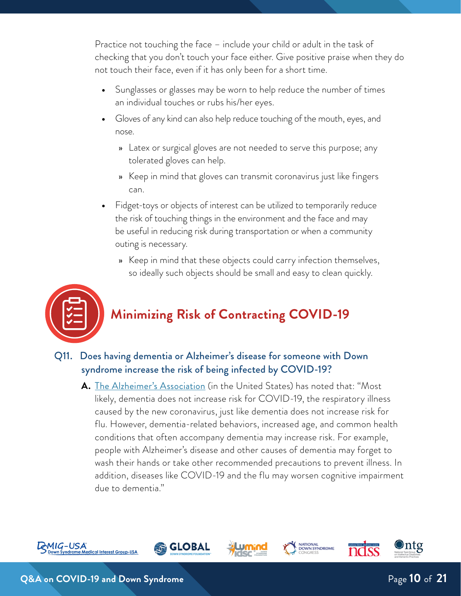Practice not touching the face – include your child or adult in the task of checking that you don't touch your face either. Give positive praise when they do not touch their face, even if it has only been for a short time.

- **•** Sunglasses or glasses may be worn to help reduce the number of times an individual touches or rubs his/her eyes.
- **•** Gloves of any kind can also help reduce touching of the mouth, eyes, and nose.
	- » Latex or surgical gloves are not needed to serve this purpose; any tolerated gloves can help.
	- » Keep in mind that gloves can transmit coronavirus just like fingers can.
- **•** Fidget-toys or objects of interest can be utilized to temporarily reduce the risk of touching things in the environment and the face and may be useful in reducing risk during transportation or when a community outing is necessary.
	- » Keep in mind that these objects could carry infection themselves, so ideally such objects should be small and easy to clean quickly.



# **Minimizing Risk of Contracting COVID-19**

- Q11. Does having dementia or Alzheimer's disease for someone with Down syndrome increase the risk of being infected by COVID-19?
	- **A.** [The Alzheimer's Association](https://www.alz.org/help-support/caregiving/coronavirus-(covid-19)-tips-for-dementia-care) (in the United States) has noted that: "Most likely, dementia does not increase risk for COVID-19, the respiratory illness caused by the new coronavirus, just like dementia does not increase risk for flu. However, dementia-related behaviors, increased age, and common health conditions that often accompany dementia may increase risk. For example, people with Alzheimer's disease and other causes of dementia may forget to wash their hands or take other recommended precautions to prevent illness. In addition, diseases like COVID-19 and the flu may worsen cognitive impairment due to dementia."











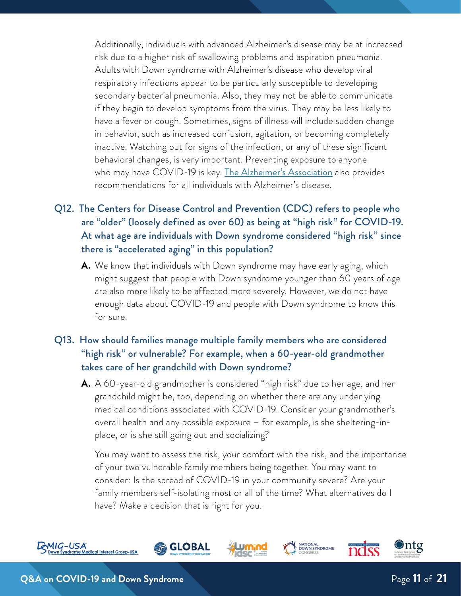Additionally, individuals with advanced Alzheimer's disease may be at increased risk due to a higher risk of swallowing problems and aspiration pneumonia. Adults with Down syndrome with Alzheimer's disease who develop viral respiratory infections appear to be particularly susceptible to developing secondary bacterial pneumonia. Also, they may not be able to communicate if they begin to develop symptoms from the virus. They may be less likely to have a fever or cough. Sometimes, signs of illness will include sudden change in behavior, such as increased confusion, agitation, or becoming completely inactive. Watching out for signs of the infection, or any of these significant behavioral changes, is very important. Preventing exposure to anyone who may have COVID-19 is key. <u>[The Alzheimer's Association](https://www.alz.org/help-support/caregiving/coronavirus-(covid-19)-tips-for-dementia-care)</u> also provides recommendations for all individuals with Alzheimer's disease.

- Q12. The Centers for Disease Control and Prevention (CDC) refers to people who are "older" (loosely defined as over 60) as being at "high risk" for COVID-19. At what age are individuals with Down syndrome considered "high risk" since there is "accelerated aging" in this population?
	- **A.** We know that individuals with Down syndrome may have early aging, which might suggest that people with Down syndrome younger than 60 years of age are also more likely to be affected more severely. However, we do not have enough data about COVID-19 and people with Down syndrome to know this for sure.

# Q13. How should families manage multiple family members who are considered "high risk" or vulnerable? For example, when a 60-year-old grandmother takes care of her grandchild with Down syndrome?

**A.** A 60-year-old grandmother is considered "high risk" due to her age, and her grandchild might be, too, depending on whether there are any underlying medical conditions associated with COVID-19. Consider your grandmother's overall health and any possible exposure – for example, is she sheltering-inplace, or is she still going out and socializing?

You may want to assess the risk, your comfort with the risk, and the importance of your two vulnerable family members being together. You may want to consider: Is the spread of COVID-19 in your community severe? Are your family members self-isolating most or all of the time? What alternatives do I have? Make a decision that is right for you.

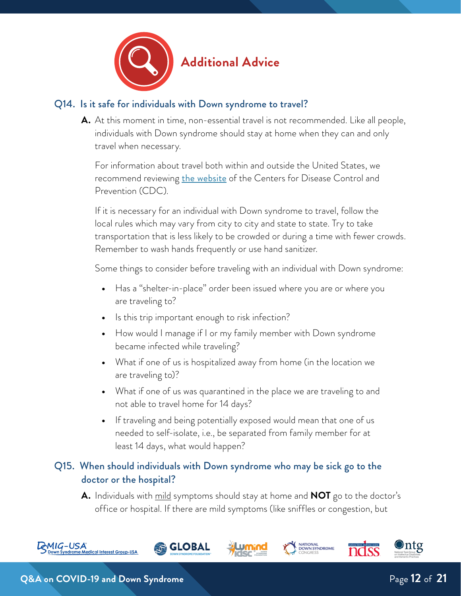

#### Q14. Is it safe for individuals with Down syndrome to travel?

**A.** At this moment in time, non-essential travel is not recommended. Like all people, individuals with Down syndrome should stay at home when they can and only travel when necessary.

For information about travel both within and outside the United States, we recommend reviewing [the website](https://www.cdc.gov/coronavirus/2019-ncov/travelers/index.html) of the Centers for Disease Control and Prevention (CDC).

If it is necessary for an individual with Down syndrome to travel, follow the local rules which may vary from city to city and state to state. Try to take transportation that is less likely to be crowded or during a time with fewer crowds. Remember to wash hands frequently or use hand sanitizer.

Some things to consider before traveling with an individual with Down syndrome:

- **•** Has a "shelter-in-place" order been issued where you are or where you are traveling to?
- **•** Is this trip important enough to risk infection?
- **•** How would I manage if I or my family member with Down syndrome became infected while traveling?
- **•** What if one of us is hospitalized away from home (in the location we are traveling to)?
- **•** What if one of us was quarantined in the place we are traveling to and not able to travel home for 14 days?
- **•** If traveling and being potentially exposed would mean that one of us needed to self-isolate, i.e., be separated from family member for at least 14 days, what would happen?

# Q15. When should individuals with Down syndrome who may be sick go to the doctor or the hospital?

**GLOBAL** 

**A.** Individuals with mild symptoms should stay at home and **NOT** go to the doctor's office or hospital. If there are mild symptoms (like sniffles or congestion, but

**NATIONAL<br>DOWN SYNDROME**<br>CONGRESS







Dntg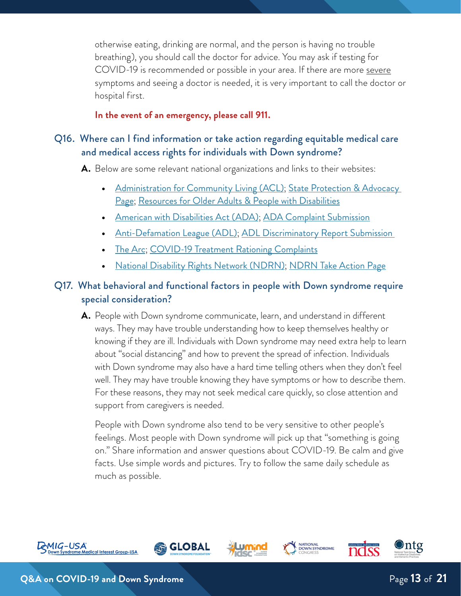otherwise eating, drinking are normal, and the person is having no trouble breathing), you should call the doctor for advice. You may ask if testing for COVID-19 is recommended or possible in your area. If there are more severe symptoms and seeing a doctor is needed, it is very important to call the doctor or hospital first.

#### **In the event of an emergency, please call 911.**

#### Q16. Where can I find information or take action regarding equitable medical care and medical access rights for individuals with Down syndrome?

**A.** Below are some relevant national organizations and links to their websites:

- **•** [Administration for Community Living \(ACL\)](https://acl.gov/); [State Protection & Advocacy](https://acl.gov/programs/aging-and-disability-networks/state-protection-advocacy-systems)  [Page](https://acl.gov/programs/aging-and-disability-networks/state-protection-advocacy-systems); [Resources for Older Adults & People with Disabilities](https://acl.gov/COVID-19)
- **•** [American with Disabilities Act \(ADA\)](https://www.dol.gov/general/topic/disability/ada); [ADA Complaint Submission](https://www.ada.gov/filing_complaint.htm)
- **•** [Anti-Defamation League \(ADL\)](https://www.adl.org/); [ADL Discriminatory Report Submission](https://www.adl.org/reportincident)
- **[The Arc](https://thearc.org/covid/); [COVID-19 Treatment Rationing Complaints](https://thearc.org/resource/hhs-ocr-complaint-of-disability-rights-washington-self-advocates-in-leadership-the-arc-of-the-united-states-and-ivanova-smith/)**
- **•** [National Disability Rights Network \(NDRN\)](https://www.ndrn.org/about/); [NDRN Take Action Page](https://www.ndrn.org/take-action/)

## Q17. What behavioral and functional factors in people with Down syndrome require special consideration?

**A.** People with Down syndrome communicate, learn, and understand in different ways. They may have trouble understanding how to keep themselves healthy or knowing if they are ill. Individuals with Down syndrome may need extra help to learn about "social distancing" and how to prevent the spread of infection. Individuals with Down syndrome may also have a hard time telling others when they don't feel well. They may have trouble knowing they have symptoms or how to describe them. For these reasons, they may not seek medical care quickly, so close attention and support from caregivers is needed.

People with Down syndrome also tend to be very sensitive to other people's feelings. Most people with Down syndrome will pick up that "something is going on." Share information and answer questions about COVID-19. Be calm and give facts. Use simple words and pictures. Try to follow the same daily schedule as much as possible.



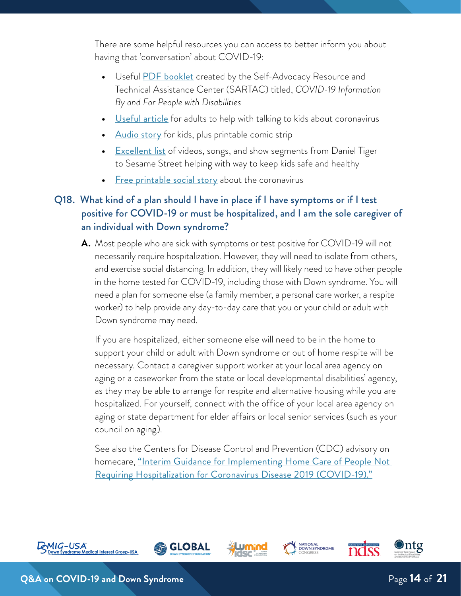There are some helpful resources you can access to better inform you about having that 'conversation' about COVID-19:

- **•** Useful [PDF booklet](https://selfadvocacyinfo.org/resource/plain-language-information-on-covid-19/) created by the Self-Advocacy Resource and Technical Assistance Center (SARTAC) titled, *COVID-19 Information By and For People with Disabilities*
- **•** [Useful article](https://childmind.org/article/talking-to-kids-about-the-coronavirus/) for adults to help with talking to kids about coronavirus
- **•** [Audio story](https://www.npr.org/sections/goatsandsoda/2020/02/28/809580453/just-for-kids-a-comic-exploring-the-new-coronavirus) for kids, plus printable comic strip
- **<u>[Excellent list](https://www.pbs.org/parents/thrive/how-to-talk-to-your-kids-about-coronavirus)</u>** of videos, songs, and show segments from Daniel Tiger to Sesame Street helping with way to keep kids safe and healthy
- [Free printable social story](https://theautismeducator.ie/wp-content/uploads/2020/03/The-Corona-Virus-Free-Printable-.pdf?fbclid=IwAR1ulf42_sHE6gejRqSA3l-1z6FFpRvVpIiZXzggPDDGiKPn5LJgK0oWIXM) about the coronavirus

# Q18. What kind of a plan should I have in place if I have symptoms or if I test positive for COVID-19 or must be hospitalized, and I am the sole caregiver of an individual with Down syndrome?

**A.** Most people who are sick with symptoms or test positive for COVID-19 will not necessarily require hospitalization. However, they will need to isolate from others, and exercise social distancing. In addition, they will likely need to have other people in the home tested for COVID-19, including those with Down syndrome. You will need a plan for someone else (a family member, a personal care worker, a respite worker) to help provide any day-to-day care that you or your child or adult with Down syndrome may need.

If you are hospitalized, either someone else will need to be in the home to support your child or adult with Down syndrome or out of home respite will be necessary. Contact a caregiver support worker at your local area agency on aging or a caseworker from the state or local developmental disabilities' agency, as they may be able to arrange for respite and alternative housing while you are hospitalized. For yourself, connect with the office of your local area agency on aging or state department for elder affairs or local senior services (such as your council on aging).

See also the Centers for Disease Control and Prevention (CDC) advisory on homecare, ["Interim Guidance for Implementing Home Care of People Not](https://www.cdc.gov/coronavirus/2019-ncov/hcp/guidance-home-care.html)  [Requiring Hospitalization for Coronavirus Disease 2019 \(COVID-19\)."](https://www.cdc.gov/coronavirus/2019-ncov/hcp/guidance-home-care.html)

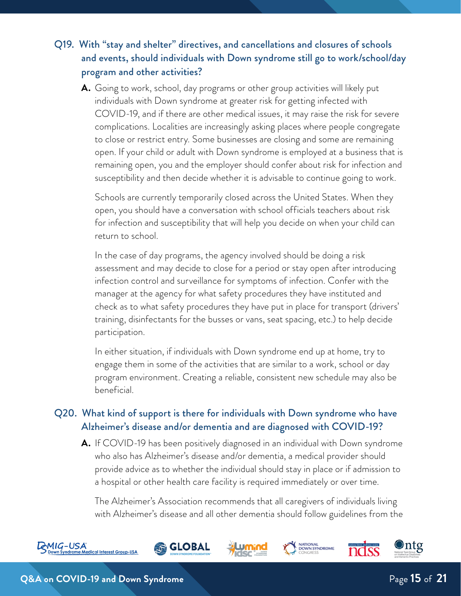# Q19. With "stay and shelter" directives, and cancellations and closures of schools and events, should individuals with Down syndrome still go to work/school/day program and other activities?

**A.** Going to work, school, day programs or other group activities will likely put individuals with Down syndrome at greater risk for getting infected with COVID-19, and if there are other medical issues, it may raise the risk for severe complications. Localities are increasingly asking places where people congregate to close or restrict entry. Some businesses are closing and some are remaining open. If your child or adult with Down syndrome is employed at a business that is remaining open, you and the employer should confer about risk for infection and susceptibility and then decide whether it is advisable to continue going to work.

Schools are currently temporarily closed across the United States. When they open, you should have a conversation with school officials teachers about risk for infection and susceptibility that will help you decide on when your child can return to school.

In the case of day programs, the agency involved should be doing a risk assessment and may decide to close for a period or stay open after introducing infection control and surveillance for symptoms of infection. Confer with the manager at the agency for what safety procedures they have instituted and check as to what safety procedures they have put in place for transport (drivers' training, disinfectants for the busses or vans, seat spacing, etc.) to help decide participation.

In either situation, if individuals with Down syndrome end up at home, try to engage them in some of the activities that are similar to a work, school or day program environment. Creating a reliable, consistent new schedule may also be beneficial.

## Q20. What kind of support is there for individuals with Down syndrome who have Alzheimer's disease and/or dementia and are diagnosed with COVID-19?

**A.** If COVID-19 has been positively diagnosed in an individual with Down syndrome who also has Alzheimer's disease and/or dementia, a medical provider should provide advice as to whether the individual should stay in place or if admission to a hospital or other health care facility is required immediately or over time.

The Alzheimer's Association recommends that all caregivers of individuals living with Alzheimer's disease and all other dementia should follow guidelines from the

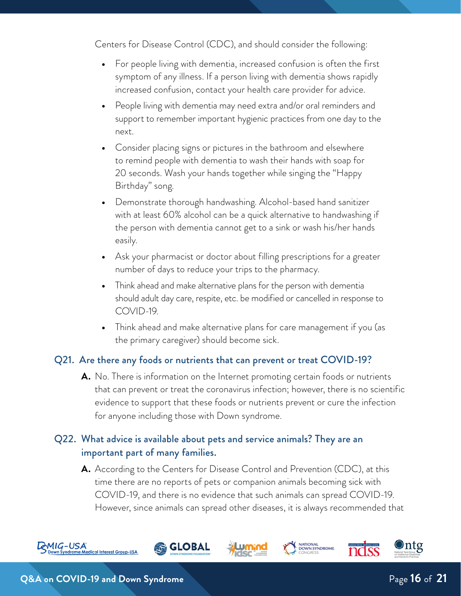Centers for Disease Control (CDC), and should consider the following:

- **•** For people living with dementia, increased confusion is often the first symptom of any illness. If a person living with dementia shows rapidly increased confusion, contact your health care provider for advice.
- **•** People living with dementia may need extra and/or oral reminders and support to remember important hygienic practices from one day to the next.
- **•** Consider placing signs or pictures in the bathroom and elsewhere to remind people with dementia to wash their hands with soap for 20 seconds. Wash your hands together while singing the "Happy Birthday" song.
- **•** Demonstrate thorough handwashing. Alcohol-based hand sanitizer with at least 60% alcohol can be a quick alternative to handwashing if the person with dementia cannot get to a sink or wash his/her hands easily.
- **•** Ask your pharmacist or doctor about filling prescriptions for a greater number of days to reduce your trips to the pharmacy.
- **•** Think ahead and make alternative plans for the person with dementia should adult day care, respite, etc. be modified or cancelled in response to COVID-19.
- **•** Think ahead and make alternative plans for care management if you (as the primary caregiver) should become sick.

#### Q21. Are there any foods or nutrients that can prevent or treat COVID-19?

**A.** No. There is information on the Internet promoting certain foods or nutrients that can prevent or treat the coronavirus infection; however, there is no scientific evidence to support that these foods or nutrients prevent or cure the infection for anyone including those with Down syndrome.

## Q22. What advice is available about pets and service animals? They are an important part of many families.

**SLOBAL** 

**A.** According to the Centers for Disease Control and Prevention (CDC), at this time there are no reports of pets or companion animals becoming sick with COVID-19, and there is no evidence that such animals can spread COVID-19. However, since animals can spread other diseases, it is always recommended that

**NATIONAL<br>DOWN SYNDROME**<br>CONGRESS



⊙ntg

ndss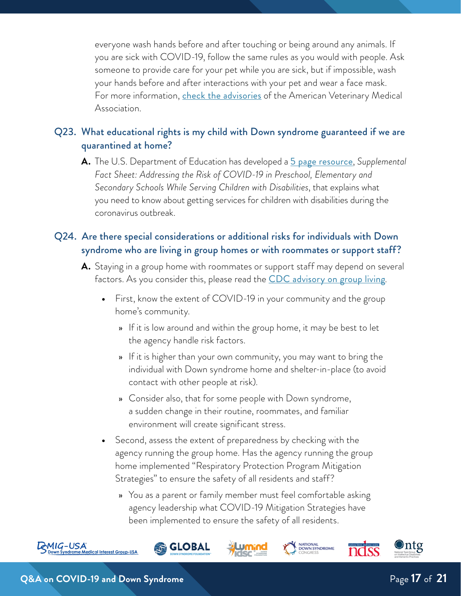everyone wash hands before and after touching or being around any animals. If you are sick with COVID-19, follow the same rules as you would with people. Ask someone to provide care for your pet while you are sick, but if impossible, wash your hands before and after interactions with your pet and wear a face mask. For more information, *[check the advisories](https://www.avma.org/sites/default/files/2020-03/covid-19-faq-pet-owners.pdf)* of the American Veterinary Medical Association.

# Q23. What educational rights is my child with Down syndrome guaranteed if we are quarantined at home?

**A.** The U.S. Department of Education has developed a [5 page resource](https://www2.ed.gov/about/offices/list/ocr/frontpage/faq/rr/policyguidance/Supple%20Fact%20Sheet%203.21.20%20FINAL.pdf), *Supplemental Fact Sheet: Addressing the Risk of COVID-19 in Preschool, Elementary and Secondary Schools While Serving Children with Disabilities*, that explains what you need to know about getting services for children with disabilities during the coronavirus outbreak.

# Q24. Are there special considerations or additional risks for individuals with Down syndrome who are living in group homes or with roommates or support staff?

- **A.** Staying in a group home with roommates or support staff may depend on several factors. As you consider this, please read the [CDC advisory on group living](https://www.cdc.gov/coronavirus/2019-ncov/hcp/guidance-prevent-spread.html).
	- **•** First, know the extent of COVID-19 in your community and the group home's community.
		- » If it is low around and within the group home, it may be best to let the agency handle risk factors.
		- » If it is higher than your own community, you may want to bring the individual with Down syndrome home and shelter-in-place (to avoid contact with other people at risk).
		- » Consider also, that for some people with Down syndrome, a sudden change in their routine, roommates, and familiar environment will create significant stress.
	- **•** Second, assess the extent of preparedness by checking with the agency running the group home. Has the agency running the group home implemented "Respiratory Protection Program Mitigation Strategies" to ensure the safety of all residents and staff?
		- » You as a parent or family member must feel comfortable asking agency leadership what COVID-19 Mitigation Strategies have been implemented to ensure the safety of all residents.







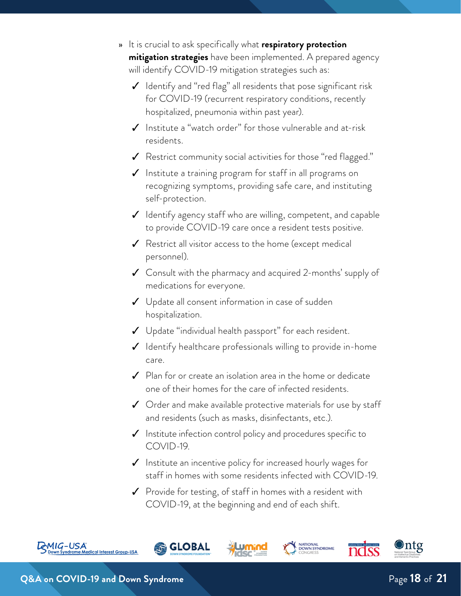- » It is crucial to ask specifically what **respiratory protection mitigation strategies** have been implemented. A prepared agency will identify COVID-19 mitigation strategies such as:
	- ✓ Identify and "red flag" all residents that pose significant risk for COVID-19 (recurrent respiratory conditions, recently hospitalized, pneumonia within past year).
	- ✓ Institute a "watch order" for those vulnerable and at-risk residents.
	- ✓ Restrict community social activities for those "red flagged."
	- ✓ Institute a training program for staff in all programs on recognizing symptoms, providing safe care, and instituting self-protection.
	- $\checkmark$  Identify agency staff who are willing, competent, and capable to provide COVID-19 care once a resident tests positive.
	- ✓ Restrict all visitor access to the home (except medical personnel).
	- ✓ Consult with the pharmacy and acquired 2-months' supply of medications for everyone.
	- $\checkmark$  Update all consent information in case of sudden hospitalization.
	- $\checkmark$  Update "individual health passport" for each resident.
	- ✓ Identify healthcare professionals willing to provide in-home care.
	- $\checkmark$  Plan for or create an isolation area in the home or dedicate one of their homes for the care of infected residents.
	- $\checkmark$  Order and make available protective materials for use by staff and residents (such as masks, disinfectants, etc.).
	- $\checkmark$  Institute infection control policy and procedures specific to COVID-19.
	- $\boldsymbol{\checkmark}$  Institute an incentive policy for increased hourly wages for staff in homes with some residents infected with COVID-19.

**NATIONAL<br>DOWN SYNDROME**<br>CONGRESS

✓ Provide for testing, of staff in homes with a resident with COVID-19, at the beginning and end of each shift.

**GLOBAL** 





⊙ntg

nass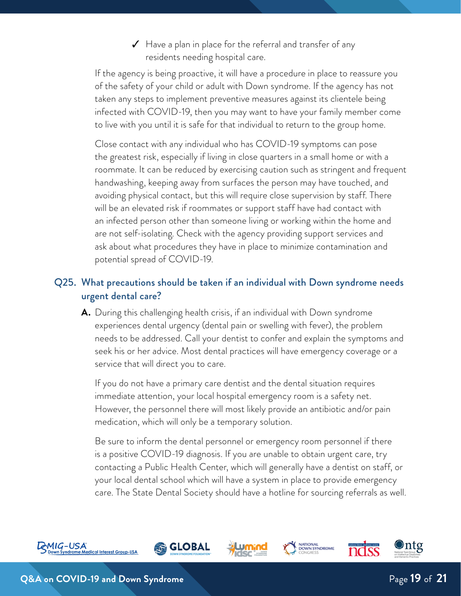$\checkmark$  Have a plan in place for the referral and transfer of any residents needing hospital care.

If the agency is being proactive, it will have a procedure in place to reassure you of the safety of your child or adult with Down syndrome. If the agency has not taken any steps to implement preventive measures against its clientele being infected with COVID-19, then you may want to have your family member come to live with you until it is safe for that individual to return to the group home.

Close contact with any individual who has COVID-19 symptoms can pose the greatest risk, especially if living in close quarters in a small home or with a roommate. It can be reduced by exercising caution such as stringent and frequent handwashing, keeping away from surfaces the person may have touched, and avoiding physical contact, but this will require close supervision by staff. There will be an elevated risk if roommates or support staff have had contact with an infected person other than someone living or working within the home and are not self-isolating. Check with the agency providing support services and ask about what procedures they have in place to minimize contamination and potential spread of COVID-19.

# Q25. What precautions should be taken if an individual with Down syndrome needs urgent dental care?

**A.** During this challenging health crisis, if an individual with Down syndrome experiences dental urgency (dental pain or swelling with fever), the problem needs to be addressed. Call your dentist to confer and explain the symptoms and seek his or her advice. Most dental practices will have emergency coverage or a service that will direct you to care.

If you do not have a primary care dentist and the dental situation requires immediate attention, your local hospital emergency room is a safety net. However, the personnel there will most likely provide an antibiotic and/or pain medication, which will only be a temporary solution.

Be sure to inform the dental personnel or emergency room personnel if there is a positive COVID-19 diagnosis. If you are unable to obtain urgent care, try contacting a Public Health Center, which will generally have a dentist on staff, or your local dental school which will have a system in place to provide emergency care. The State Dental Society should have a hotline for sourcing referrals as well.

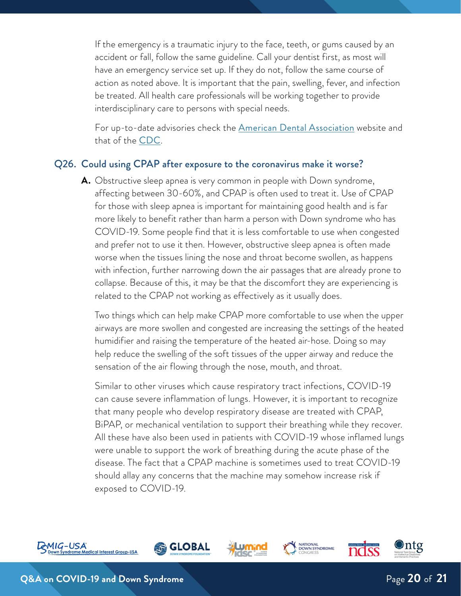If the emergency is a traumatic injury to the face, teeth, or gums caused by an accident or fall, follow the same guideline. Call your dentist first, as most will have an emergency service set up. If they do not, follow the same course of action as noted above. It is important that the pain, swelling, fever, and infection be treated. All health care professionals will be working together to provide interdisciplinary care to persons with special needs.

For up-to-date advisories check the **[American Dental Association](https://success.ada.org/en/practice-management/patients/infectious-diseases-2019-novel-coronavirus?utm_source=adaorg&utm_medium=VanityURL&_ga=2.148555443.508193040.1584572635-1711689137.1584572635)** website and that of the [CDC](https://www.cdc.gov/oralhealth/infectioncontrol/statement-COVID.html).

#### Q26. Could using CPAP after exposure to the coronavirus make it worse?

**A.** Obstructive sleep apnea is very common in people with Down syndrome, affecting between 30-60%, and CPAP is often used to treat it. Use of CPAP for those with sleep apnea is important for maintaining good health and is far more likely to benefit rather than harm a person with Down syndrome who has COVID-19. Some people find that it is less comfortable to use when congested and prefer not to use it then. However, obstructive sleep apnea is often made worse when the tissues lining the nose and throat become swollen, as happens with infection, further narrowing down the air passages that are already prone to collapse. Because of this, it may be that the discomfort they are experiencing is related to the CPAP not working as effectively as it usually does.

Two things which can help make CPAP more comfortable to use when the upper airways are more swollen and congested are increasing the settings of the heated humidifier and raising the temperature of the heated air-hose. Doing so may help reduce the swelling of the soft tissues of the upper airway and reduce the sensation of the air flowing through the nose, mouth, and throat.

Similar to other viruses which cause respiratory tract infections, COVID-19 can cause severe inflammation of lungs. However, it is important to recognize that many people who develop respiratory disease are treated with CPAP, BiPAP, or mechanical ventilation to support their breathing while they recover. All these have also been used in patients with COVID-19 whose inflamed lungs were unable to support the work of breathing during the acute phase of the disease. The fact that a CPAP machine is sometimes used to treat COVID-19 should allay any concerns that the machine may somehow increase risk if exposed to COVID-19.